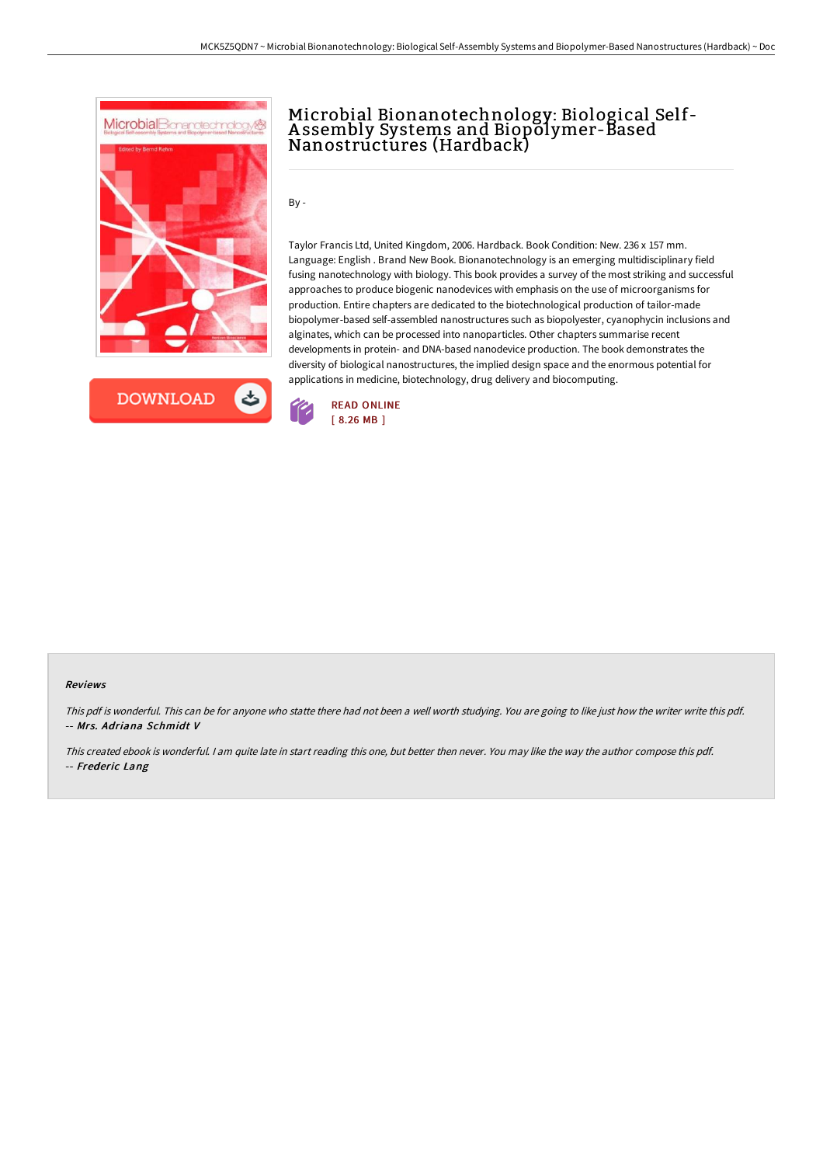



# Microbial Bionanotechnology: Biological Self-A ssembly Systems and Biopolymer-Based Nanostructures (Hardback)

By -

Taylor Francis Ltd, United Kingdom, 2006. Hardback. Book Condition: New. 236 x 157 mm. Language: English . Brand New Book. Bionanotechnology is an emerging multidisciplinary field fusing nanotechnology with biology. This book provides a survey of the most striking and successful approaches to produce biogenic nanodevices with emphasis on the use of microorganisms for production. Entire chapters are dedicated to the biotechnological production of tailor-made biopolymer-based self-assembled nanostructures such as biopolyester, cyanophycin inclusions and alginates, which can be processed into nanoparticles. Other chapters summarise recent developments in protein- and DNA-based nanodevice production. The book demonstrates the diversity of biological nanostructures, the implied design space and the enormous potential for applications in medicine, biotechnology, drug delivery and biocomputing.



#### Reviews

This pdf is wonderful. This can be for anyone who statte there had not been a well worth studying. You are going to like just how the writer write this pdf. -- Mrs. Adriana Schmidt V

This created ebook is wonderful. <sup>I</sup> am quite late in start reading this one, but better then never. You may like the way the author compose this pdf. -- Frederic Lang